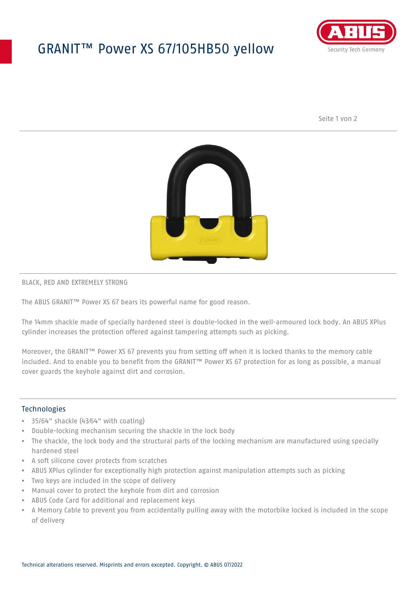## GRANIT™ Power XS 67/105HB50 yellow



Seite 1 von 2



#### BLACK, RED AND EXTREMELY STRONG

The ABUS GRANIT™ Power XS 67 bears its powerful name for good reason.

The 14mm shackle made of specially hardened steel is double-locked in the well-armoured lock body. An ABUS XPlus cylinder increases the protection offered against tampering attempts such as picking.

Moreover, the GRANIT™ Power XS 67 prevents you from setting off when it is locked thanks to the memory cable included. And to enable you to benefit from the GRANIT™ Power XS 67 protection for as long as possible, a manual cover guards the keyhole against dirt and corrosion.

### **Technologies**

- 35/64" shackle (43⁄64" with coating)
- Double-locking mechanism securing the shackle in the lock body
- The shackle, the lock body and the structural parts of the locking mechanism are manufactured using specially hardened steel
- A soft silicone cover protects from scratches
- ABUS XPlus cylinder for exceptionally high protection against manipulation attempts such as picking
- Two keys are included in the scope of delivery
- Manual cover to protect the keyhole from dirt and corrosion
- ABUS Code Card for additional and replacement keys
- A Memory Cable to prevent you from accidentally pulling away with the motorbike locked is included in the scope of delivery